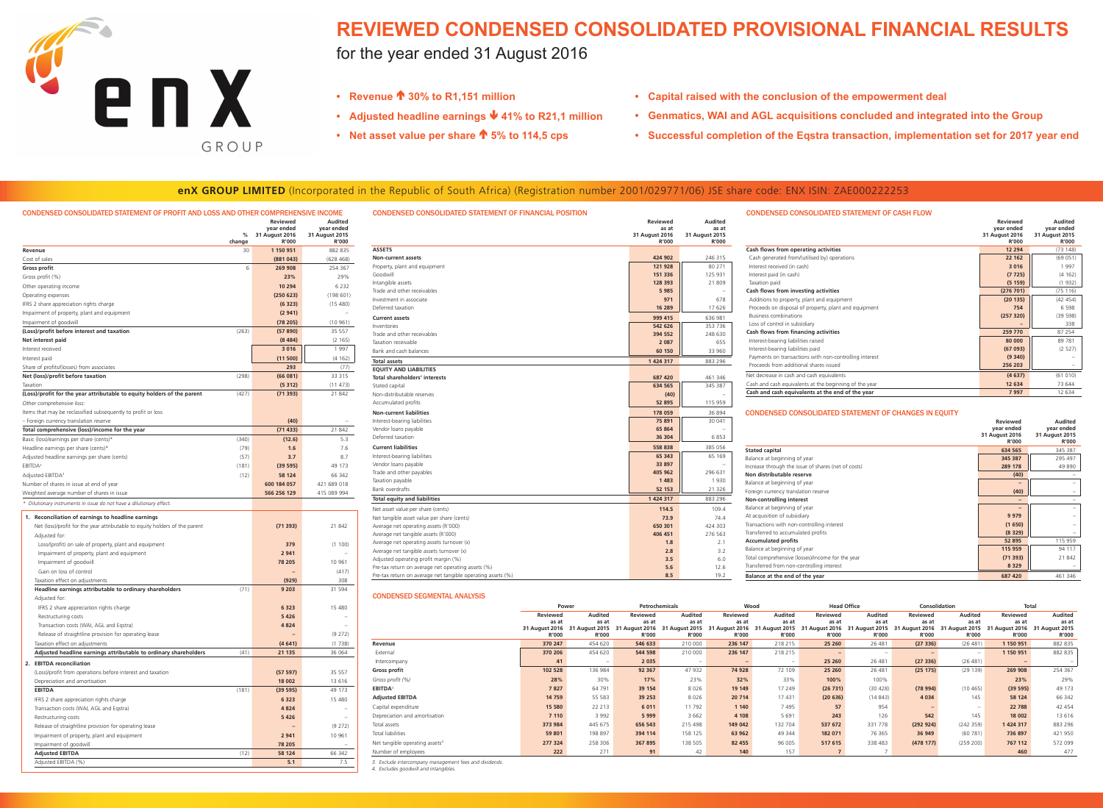

# **REVIEWED CONDENSED CONSOLIDATED PROVISIONAL FINANCIAL RESULTS**

# for the year ended 31 August 2016

| CONDENSED CONSOLIDATED STATEMENT OF PROFIT AND LOSS AND OTHER COMPREHENSIVE INCOME                                                |        |                                                 |                                                |
|-----------------------------------------------------------------------------------------------------------------------------------|--------|-------------------------------------------------|------------------------------------------------|
|                                                                                                                                   | %      | <b>Reviewed</b><br>year ended<br>31 August 2016 | <b>Audited</b><br>year ended<br>31 August 2015 |
|                                                                                                                                   | change | R'000                                           | R'000                                          |
| Revenue                                                                                                                           | 30     | 1 150 951                                       | 882 835                                        |
| Cost of sales                                                                                                                     |        | (881043)                                        | (628468)                                       |
| <b>Gross profit</b>                                                                                                               | 6      | 269 908                                         | 254 367                                        |
| Gross profit (%)                                                                                                                  |        | 23%                                             | 29%                                            |
| Other operating income                                                                                                            |        | 10 294                                          | 6 2 3 2                                        |
| Operating expenses                                                                                                                |        | (250 623)                                       | (198601)                                       |
| IFRS 2 share appreciation rights charge                                                                                           |        | (6323)                                          | (15 480)                                       |
| Impairment of property, plant and equipment                                                                                       |        | (2941)                                          |                                                |
| Impairment of goodwill<br>(Loss)/profit before interest and taxation                                                              | (263)  | (78 205)<br>(57 890)                            | (10961)<br>35 557                              |
| Net interest paid                                                                                                                 |        | (8484)                                          | (2165)                                         |
| Interest received                                                                                                                 |        | 3016                                            | 1997                                           |
| Interest paid                                                                                                                     |        | (11 500)                                        | (4162)                                         |
| Share of profits/(losses) from associates                                                                                         |        | 293                                             | (77)                                           |
| Net (loss)/profit before taxation                                                                                                 | (298)  | (66081)                                         | 33 315                                         |
| Taxation                                                                                                                          |        | (5312)                                          | (11 473)                                       |
| (Loss)/profit for the year attributable to equity holders of the parent                                                           | (427)  | (71393)                                         | 21 842                                         |
| Other comprehensive loss:                                                                                                         |        |                                                 |                                                |
| Items that may be reclassified subsequently to profit or loss                                                                     |        |                                                 |                                                |
| - Foreign currency translation reserve                                                                                            |        | (40)                                            |                                                |
| Total comprehensive (loss)/income for the year                                                                                    |        | (71433)                                         | 21 842                                         |
| Basic (loss)/earnings per share (cents)*                                                                                          | (340)  | (12.6)                                          | 5.3                                            |
| Headline earnings per share (cents)*                                                                                              | (79)   | 1.6                                             | 7.6                                            |
| Adjusted headline earnings per share (cents)                                                                                      | (57)   | 3.7                                             | 8.7                                            |
| EBITDA <sup>2</sup>                                                                                                               | (181)  | (39 595)                                        | 49 173                                         |
| Adjusted EBITDA <sup>2</sup>                                                                                                      | (12)   | 58 124                                          | 66 342                                         |
| Number of shares in issue at end of year                                                                                          |        | 600 184 057                                     | 421 689 018                                    |
| Weighted average number of shares in issue                                                                                        |        | 566 256 129                                     | 415 089 994                                    |
| * Dilutionary instruments in issue do not have a dilutionary effect.                                                              |        |                                                 |                                                |
|                                                                                                                                   |        |                                                 |                                                |
| 1. Reconciliation of earnings to headline earnings<br>Net (loss)/profit for the year attributable to equity holders of the parent |        |                                                 |                                                |
| Adjusted for:                                                                                                                     |        | (71393)                                         | 21842                                          |
| Loss/(profit) on sale of property, plant and equipment                                                                            |        | 379                                             | (1 100)                                        |
| Impairment of property, plant and equipment                                                                                       |        | 2 9 4 1                                         |                                                |
| Impairment of goodwill                                                                                                            |        | 78 205                                          | 10 961                                         |
| Gain on loss of control                                                                                                           |        |                                                 | (417)                                          |
| Taxation effect on adjustments                                                                                                    |        | (929)                                           | 308                                            |
| Headline earnings attributable to ordinary shareholders                                                                           | (71)   | 9 2 0 3                                         | 31 594                                         |
| Adjusted for:                                                                                                                     |        |                                                 |                                                |
| IFRS 2 share appreciation rights charge                                                                                           |        | 6 3 2 3                                         | 15 480                                         |
| Restructuring costs                                                                                                               |        | 5 4 2 6                                         |                                                |
| Transaction costs (WAI, AGL and Eqstra)                                                                                           |        | 4 8 2 4                                         |                                                |
| Release of straightline provision for operating lease                                                                             |        |                                                 | (9 272)                                        |
| Taxation effect on adjustments                                                                                                    |        | (4641)                                          | (1738)                                         |
| Adjusted headline earnings attributable to ordinary shareholders                                                                  | (41)   | 21 135                                          | 36 064                                         |
| 2. EBITDA reconciliation                                                                                                          |        |                                                 |                                                |
| (Loss)/profit from operations before interest and taxation                                                                        |        |                                                 | 35 557                                         |
| Depreciation and amortisation                                                                                                     |        | (57 597)<br>18 002                              | 13 6 16                                        |
| <b>EBITDA</b>                                                                                                                     | (181)  | (39 595)                                        | 49 173                                         |
| IFRS 2 share appreciation rights charge                                                                                           |        | 6 3 2 3                                         | 15 4 80                                        |
| Transaction costs (WAI, AGL and Eqstra)                                                                                           |        | 4 8 2 4                                         |                                                |
| Restructuring costs                                                                                                               |        | 5 4 2 6                                         |                                                |
| Release of straightline provision for operating lease                                                                             |        |                                                 | (9 272)                                        |
| Impairment of property, plant and equipment                                                                                       |        | 2 941                                           | 10 961                                         |
|                                                                                                                                   |        | 78 205                                          |                                                |
|                                                                                                                                   |        |                                                 |                                                |
| Impairment of goodwill                                                                                                            |        |                                                 |                                                |
| <b>Adjusted EBITDA</b><br>Adjusted EBITDA (%)                                                                                     | (12)   | 58 124<br>5.1                                   | 66 342<br>7.5                                  |

| <b>CONDENSED CONSOLIDATED STATEMENT OF FINANCIAL POSITION</b> | <b>Reviewed</b><br>as at<br>31 August 2016<br><b>R'000</b> | <b>Audited</b><br>as at<br>31 August 2015<br><b>R'000</b> | <b>CONDENSED CONSOLIDATED STATEMENT OF CASH FLOW</b>         | Reviewed<br>year ended<br>31 August 2016<br><b>R'000</b> | <b>Audited</b><br>vear ended<br>31 August 2015<br><b>R'000</b> |
|---------------------------------------------------------------|------------------------------------------------------------|-----------------------------------------------------------|--------------------------------------------------------------|----------------------------------------------------------|----------------------------------------------------------------|
| <b>ASSETS</b>                                                 |                                                            |                                                           | Cash flows from operating activities                         | 12 2 9 4                                                 | (73148)                                                        |
| <b>Non-current assets</b>                                     | 424 902                                                    | 246 315                                                   | Cash generated from/(utilised by) operations                 | 22 162                                                   | (69051)                                                        |
| Property, plant and equipment                                 | 121 928                                                    | 80 271                                                    | Interest received (in cash)                                  | 3 0 1 6                                                  | 1997                                                           |
| Goodwill                                                      | 151 336                                                    | 125 931                                                   | Interest paid (in cash)                                      | (7725)                                                   | (4162)                                                         |
| Intangible assets                                             | 128 393                                                    | 21809                                                     | Taxation paid                                                | (5159)                                                   | (1932)                                                         |
| Trade and other receivables                                   | 5985                                                       |                                                           | Cash flows from investing activities                         | (276 701)                                                | (75116)                                                        |
| Investment in associate                                       | 971                                                        | 678                                                       | Additions to property, plant and equipment                   | (20135)                                                  | (42 454)                                                       |
| Deferred taxation                                             | 16 289                                                     | 17 626                                                    | Proceeds on disposal of property, plant and equipment        | 754                                                      | 6 5 9 8                                                        |
| <b>Current assets</b>                                         | 999 415                                                    | 636 981                                                   | <b>Business combinations</b>                                 | (257 320)                                                | (39 598)                                                       |
| Inventories                                                   | 542 626                                                    | 353 736                                                   | Loss of control in subsidiary                                |                                                          | 338                                                            |
| Trade and other receivables                                   | 394 552                                                    | 248 630                                                   | <b>Cash flows from financing activities</b>                  | 259 770                                                  | 87 254                                                         |
| Taxation receivable                                           | 2 0 8 7                                                    | 655                                                       | Interest-bearing liabilities raised                          | 80 000                                                   | 89 781                                                         |
| Bank and cash balances                                        | 60 150                                                     | 33 960                                                    | Interest-bearing liabilities paid                            | (67093)                                                  | (2 527)                                                        |
| <b>Total assets</b>                                           | 1 424 317                                                  | 883 296                                                   | Payments on transactions with non-controlling interest       | (9340)                                                   |                                                                |
| <b>EQUITY AND LIABILITIES</b>                                 |                                                            |                                                           | Proceeds from additional shares issued                       | 256 203                                                  |                                                                |
| Total shareholders' interests                                 | 687 420                                                    | 461 346                                                   | Net decrease in cash and cash equivalents                    | (4637)                                                   | (61010)                                                        |
| Stated capital                                                | 634 565                                                    | 345 387                                                   | Cash and cash equivalents at the beginning of the year       | 12 634                                                   | 73 644                                                         |
| Non-distributable reserves                                    | (40)                                                       |                                                           | Cash and cash equivalents at the end of the year             | 7 9 9 7                                                  | 12 634                                                         |
| Accumulated profits                                           | 52 895                                                     | 115 959                                                   |                                                              |                                                          |                                                                |
| <b>Non-current liabilities</b>                                | 178 059                                                    | 36 894                                                    | <b>CONDENSED CONSOLIDATED STATEMENT OF CHANGES IN EQUITY</b> |                                                          |                                                                |
| Interest-bearing liabilities                                  | 75 891                                                     | 30 041                                                    |                                                              | Reviewed                                                 |                                                                |
| Vendor loans payable                                          | 65 864                                                     |                                                           |                                                              | year ended                                               | <b>Audited</b><br>year ended                                   |
| Deferred taxation                                             | 36 304                                                     | 6853                                                      |                                                              | 31 August 2016                                           | 31 August 2015                                                 |
| <b>Current liabilities</b>                                    | 558 838                                                    |                                                           |                                                              | <b>R'000</b>                                             | R'000                                                          |
|                                                               | 65 343                                                     | 385 056<br>65 169                                         | <b>Stated capital</b>                                        | 634 565                                                  | 345 387                                                        |
| Interest-bearing liabilities<br>Vendor loans payable          | 33 897                                                     |                                                           | Balance at beginning of year                                 | 345 387                                                  | 295 497                                                        |
| Trade and other payables                                      | 405 962                                                    | 296 631                                                   | Increase through the issue of shares (net of costs)          | 289 178                                                  | 49 890                                                         |
| Taxation payable                                              | 1483                                                       | 1930                                                      | Non distributable reserve                                    | (40)                                                     |                                                                |
| Bank overdrafts                                               | 52 153                                                     | 21 3 26                                                   | Balance at beginning of year                                 |                                                          | $\sim$                                                         |
|                                                               |                                                            |                                                           | Foreign currency translation reserve                         | (40)                                                     | $ \,$                                                          |
| <b>Total equity and liabilities</b>                           | 1 424 317                                                  | 883 296                                                   | <b>Non-controlling interest</b>                              |                                                          |                                                                |
| Net asset value per share (cents)                             | 114.5                                                      | 109.4                                                     | Balance at beginning of year                                 | $\qquad \qquad -$                                        | $ \,$                                                          |
| Net tangible asset value per share (cents)                    | 73.9                                                       | 74.4                                                      | At acquisition of subsidiary                                 | 9 9 7 9                                                  | $-$                                                            |
| Average net operating assets (R'000)                          | 650 301                                                    | 424 303                                                   | Transactions with non-controlling interest                   | (1650)                                                   | $\overline{\phantom{0}}$                                       |
| Average net tangible assets (R'000)                           | 406 451                                                    | 276 563                                                   | Transferred to accumulated profits                           | (8329)                                                   | $\sim$                                                         |
| Average net operating assets turnover (x)                     | 1.8                                                        | 2.1                                                       | <b>Accumulated profits</b>                                   | 52 895                                                   | 115 959                                                        |
| Average net tangible assets turnover (x)                      | 2.8                                                        | 3.2                                                       | Balance at beginning of year                                 | 115 959                                                  | 94 117                                                         |
| Adjusted operating profit margin (%)                          | 3.5                                                        | 6.0                                                       | Total comprehensive (losses)/income for the year             | (71393)                                                  | 21842                                                          |
| Pre-tax return on average net operating assets (%)            | 5.6                                                        | 12.6                                                      | Transferred from non-controlling interest                    | 8 3 2 9                                                  | $\hspace{0.1mm}-\hspace{0.1mm}$                                |
| Pre-tax return on average net tangible operating assets (%)   | 8.5                                                        | 19.2                                                      | Balance at the end of the year                               | 687 420                                                  | 461 346                                                        |

|                                            | Power                             |                                                                                                                                                     | Petrochemicals                    |                                         | Wood                                     |                                         | <b>Head Office</b>                |                                                    | Consolidation                                       |                                  | <b>Total</b>                                                                      |                                         |
|--------------------------------------------|-----------------------------------|-----------------------------------------------------------------------------------------------------------------------------------------------------|-----------------------------------|-----------------------------------------|------------------------------------------|-----------------------------------------|-----------------------------------|----------------------------------------------------|-----------------------------------------------------|----------------------------------|-----------------------------------------------------------------------------------|-----------------------------------------|
|                                            | Reviewed<br>as at<br><b>R'000</b> | <b>Audited</b><br>as at<br>31 August 2016 31 August 2015 31 August 2016 31 August 2015 31 August 2016 31 August 2015 31 August 2016<br><b>R'000</b> | Reviewed<br>as at<br><b>R'000</b> | <b>Audited</b><br>as at<br><b>R'000</b> | <b>Reviewed</b><br>as at<br><b>R'000</b> | <b>Audited</b><br>as at<br><b>R'000</b> | Reviewed<br>as at<br><b>R'000</b> | Audited<br>as at<br>31 August 2015<br><b>R'000</b> | Reviewed<br>as at<br>31 August 2016<br><b>R'000</b> | Audited<br>as at<br><b>R'000</b> | Reviewed<br>as at<br>31 August 2015 31 August 2016 31 August 2015<br><b>R'000</b> | <b>Audited</b><br>as at<br><b>R'000</b> |
| Revenue                                    | 370 247                           | 454 620                                                                                                                                             | 546 633                           | 210 000                                 | 236 147                                  | 218 215                                 | 25 260                            | 26 481                                             | (27 336)                                            | (26, 481)                        | 1 150 951                                                                         | 882 835                                 |
| External                                   | 370 206                           | 454 620                                                                                                                                             | 544 598                           | 210 000                                 | 236 147                                  | 218 215                                 |                                   |                                                    |                                                     | $\hspace{0.1mm}-\hspace{0.1mm}$  | 1 150 951                                                                         | 882 835                                 |
| Intercompany                               | 41                                | $\hspace{0.1mm}-\hspace{0.1mm}$                                                                                                                     | 2 0 3 5                           | $\overline{\phantom{m}}$                |                                          | $\overline{\phantom{0}}$                | 25 260                            | 26 481                                             | (27336)                                             | (26 481)                         | $-$                                                                               | $\overline{\phantom{0}}$                |
| Gross profit                               | 102 528                           | 136 984                                                                                                                                             | 92 367                            | 47 932                                  | 74 928                                   | 72 109                                  | 25 260                            | 26 481                                             | (25175)                                             | (29139)                          | 269 908                                                                           | 254 367                                 |
| Gross profit (%)                           | 28%                               | 30%                                                                                                                                                 | 17%                               | 23%                                     | 32%                                      | 33%                                     | 100%                              | 100%                                               |                                                     |                                  | 23%                                                                               | 29%                                     |
| <b>EBITDA3</b>                             | 7827                              | 64 791                                                                                                                                              | 39 154                            | 8 0 2 6                                 | 19 149                                   | 17 249                                  | (26731)                           | (30 428)                                           | (78994)                                             | (10 465)                         | (39 595)                                                                          | 49 173                                  |
| <b>Adjusted EBITDA</b>                     | 14 7 5 9                          | 55 583                                                                                                                                              | 39 25 3                           | 8 0 2 6                                 | 20 714                                   | 17 431                                  | (20636)                           | (14843)                                            | 4 0 3 4                                             | 145                              | 58 124                                                                            | 66 342                                  |
| Capital expenditure                        | 15 580                            | 22 213                                                                                                                                              | 6 0 1 1                           | 11 792                                  | 1 140                                    | 7495                                    | 57                                | 954                                                |                                                     | $\hspace{0.1mm}-\hspace{0.1mm}$  | 22 788                                                                            | 42 454                                  |
| Depreciation and amortisation              | 7 1 1 0                           | 3 9 9 2                                                                                                                                             | 5999                              | 3 6 6 2                                 | 4 108                                    | 5 6 9 1                                 | 243                               | 126                                                | 542                                                 | 145                              | 18 002                                                                            | 13 616                                  |
| Total assets                               | 373 984                           | 445 675                                                                                                                                             | 656 543                           | 215 498                                 | 149 042                                  | 132 704                                 | 537 672                           | 331 778                                            | (292 924)                                           | (242 359)                        | 1 424 317                                                                         | 883 296                                 |
| Total liabilities                          | 59 801                            | 198 897                                                                                                                                             | 394 114                           | 158 125                                 | 63 962                                   | 49 344                                  | 182 071                           | 76 365                                             | 36 949                                              | (60 781)                         | 736 897                                                                           | 421 950                                 |
| Net tangible operating assets <sup>4</sup> | 277 324                           | 258 306                                                                                                                                             | 367 895                           | 138 505                                 | 82 455                                   | 96 005                                  | 517 615                           | 338 483                                            | (47817)                                             | (259 200)                        | 767 112                                                                           | 572 099                                 |
| Number of employees                        | 222                               | 271                                                                                                                                                 | 91                                | 42                                      | 140                                      | 157                                     |                                   |                                                    |                                                     |                                  | 460                                                                               | 477                                     |
|                                            |                                   |                                                                                                                                                     |                                   |                                         |                                          |                                         |                                   |                                                    |                                                     |                                  |                                                                                   |                                         |

3. Exclude intercompany management fees and dividends. 4. Excludes goodwill and intangibles.

- **• Revenue 30% to R1,151 million**
- **• Adjusted headline earnings 41% to R21,1 million**
- **• Net asset value per share 5% to 114,5 cps**

# **enX GROUP LIMITED** (Incorporated in the Republic of South Africa) (Registration number 2001/029771/06) JSE share code: ENX ISIN: ZAE000222253

# CONDENSED CONSOLIDATED STATEMENT OF PROFIT AND LOSS AND OTHER COMPREHENSIVE

- **• Capital raised with the conclusion of the empowerment deal**
- **• Genmatics, WAI and AGL acquisitions concluded and integrated into the Group**
- **• Successful completion of the Eqstra transaction, implementation set for 2017 year end**

| CONDENSED CONSOLIDATED STATEMENT OF CASH FLOW |  |  |  |
|-----------------------------------------------|--|--|--|
|                                               |  |  |  |